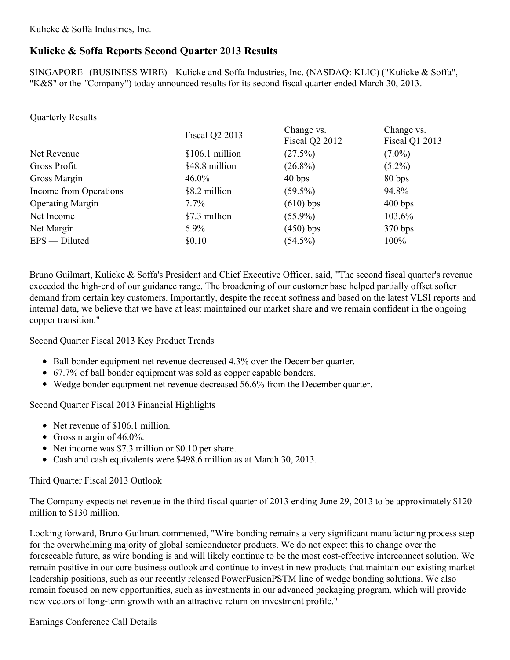Kulicke & Soffa Industries, Inc.

# **Kulicke & Soffa Reports Second Quarter 2013 Results**

SINGAPORE--(BUSINESS WIRE)-- Kulicke and Soffa Industries, Inc. (NASDAQ: KLIC) ("Kulicke & Soffa", "K&S" or the *"*Company") today announced results for its second fiscal quarter ended March 30, 2013.

Quarterly Results

|                         | <b>Fiscal Q2 2013</b> | Change vs.            | Change vs.     |  |
|-------------------------|-----------------------|-----------------------|----------------|--|
|                         |                       | <b>Fiscal Q2 2012</b> | Fiscal Q1 2013 |  |
| Net Revenue             | $$106.1$ million      | $(27.5\%)$            | $(7.0\%)$      |  |
| Gross Profit            | \$48.8 million        | $(26.8\%)$            | $(5.2\%)$      |  |
| Gross Margin            | $46.0\%$              | 40 bps                | 80 bps         |  |
| Income from Operations  | \$8.2 million         | $(59.5\%)$            | 94.8%          |  |
| <b>Operating Margin</b> | $7.7\%$               | $(610)$ bps           | 400 bps        |  |
| Net Income              | \$7.3 million         | $(55.9\%)$            | 103.6%         |  |
| Net Margin              | $6.9\%$               | $(450)$ bps           | 370 bps        |  |
| $EPS$ — Diluted         | \$0.10                | $(54.5\%)$            | 100%           |  |

Bruno Guilmart, Kulicke & Soffa's President and Chief Executive Officer, said, "The second fiscal quarter's revenue exceeded the high-end of our guidance range. The broadening of our customer base helped partially offset softer demand from certain key customers. Importantly, despite the recent softness and based on the latest VLSI reports and internal data, we believe that we have at least maintained our market share and we remain confident in the ongoing copper transition."

Second Quarter Fiscal 2013 Key Product Trends

- Ball bonder equipment net revenue decreased 4.3% over the December quarter.
- 67.7% of ball bonder equipment was sold as copper capable bonders.
- Wedge bonder equipment net revenue decreased 56.6% from the December quarter.

Second Quarter Fiscal 2013 Financial Highlights

- Net revenue of \$106.1 million.
- Gross margin of  $46.0\%$ .
- Net income was \$7.3 million or \$0.10 per share.
- Cash and cash equivalents were \$498.6 million as at March 30, 2013.

Third Quarter Fiscal 2013 Outlook

The Company expects net revenue in the third fiscal quarter of 2013 ending June 29, 2013 to be approximately \$120 million to \$130 million.

Looking forward, Bruno Guilmart commented, "Wire bonding remains a very significant manufacturing process step for the overwhelming majority of global semiconductor products. We do not expect this to change over the foreseeable future, as wire bonding is and will likely continue to be the most cost-effective interconnect solution. We remain positive in our core business outlook and continue to invest in new products that maintain our existing market leadership positions, such as our recently released PowerFusionPSTM line of wedge bonding solutions. We also remain focused on new opportunities, such as investments in our advanced packaging program, which will provide new vectors of long-term growth with an attractive return on investment profile."

#### Earnings Conference Call Details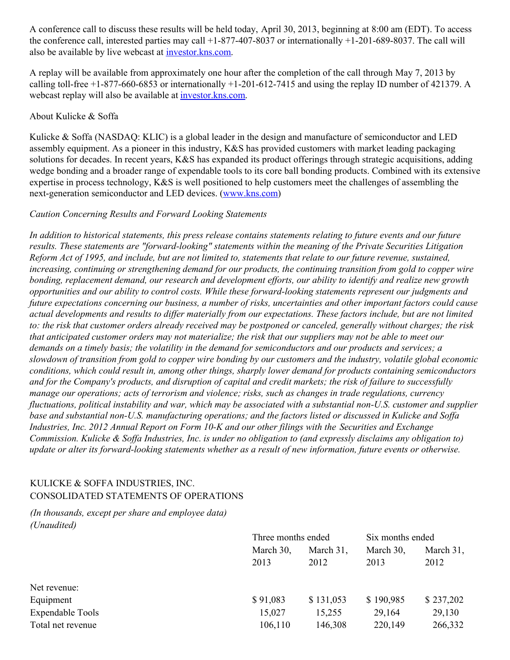A conference call to discuss these results will be held today, April 30, 2013, beginning at 8:00 am (EDT). To access the conference call, interested parties may call +1-877-407-8037 or internationally +1-201-689-8037. The call will also be available by live webcast at [investor.kns.com](http://cts.businesswire.com/ct/CT?id=smartlink&url=http%3A%2F%2Finvestor.kns.com%2Fevents.cfm&esheet=50620877&lan=en-US&anchor=investor.kns.com&index=1&md5=4af86ec4713d3a1dbd5bd4d15b129abf).

A replay will be available from approximately one hour after the completion of the call through May 7, 2013 by calling toll-free +1-877-660-6853 or internationally +1-201-612-7415 and using the replay ID number of 421379. A webcast replay will also be available at *[investor.kns.com](http://cts.businesswire.com/ct/CT?id=smartlink&url=http%3A%2F%2Finvestor.kns.com%2Fevents.cfm&esheet=50620877&lan=en-US&anchor=investor.kns.com&index=2&md5=459c9bb73e009febd4f71d359d45ebc3).* 

#### About Kulicke & Soffa

Kulicke & Soffa (NASDAQ: KLIC) is a global leader in the design and manufacture of semiconductor and LED assembly equipment. As a pioneer in this industry, K&S has provided customers with market leading packaging solutions for decades. In recent years, K&S has expanded its product offerings through strategic acquisitions, adding wedge bonding and a broader range of expendable tools to its core ball bonding products. Combined with its extensive expertise in process technology, K&S is well positioned to help customers meet the challenges of assembling the next-generation semiconductor and LED devices. [\(www.kns.com](http://cts.businesswire.com/ct/CT?id=smartlink&url=http%3A%2F%2Fwww.kns.com&esheet=50620877&lan=en-US&anchor=www.kns.com&index=3&md5=f600e3e5c01f8b2dd563c5f3a12f4dae))

#### *Caution Concerning Results and Forward Looking Statements*

In addition to historical statements, this press release contains statements relating to future events and our future *results. These statements are "forward-looking" statements within the meaning of the Private Securities Litigation* Reform Act of 1995, and include, but are not limited to, statements that relate to our future revenue, sustained, increasing, continuing or strengthening demand for our products, the continuing transition from gold to copper wire bonding, replacement demand, our research and development efforts, our ability to identify and realize new growth *opportunities and our ability to control costs. While these forward-looking statements represent our judgments and* future expectations concerning our business, a number of risks, uncertainties and other important factors could cause actual developments and results to differ materially from our expectations. These factors include, but are not limited to: the risk that customer orders already received may be postponed or canceled, generally without charges; the risk that anticipated customer orders may not materialize; the risk that our suppliers may not be able to meet our demands on a timely basis; the volatility in the demand for semiconductors and our products and services; a slowdown of transition from gold to copper wire bonding by our customers and the industry, volatile global economic *conditions, which could result in, among other things, sharply lower demand for products containing semiconductors* and for the Company's products, and disruption of capital and credit markets; the risk of failure to successfully *manage our operations; acts of terrorism and violence; risks, such as changes in trade regulations, currency* fluctuations, political instability and war, which may be associated with a substantial non-U.S. customer and supplier base and substantial non-U.S. manufacturing operations; and the factors listed or discussed in Kulicke and Soffa *Industries, Inc. 2012 Annual Report on Form 10-K and our other filings with the Securities and Exchange* Commission. Kulicke & Soffa Industries, Inc. is under no obligation to (and expressly disclaims any obligation to) update or alter its forward-looking statements whether as a result of new information, future events or otherwise.

### KULICKE & SOFFA INDUSTRIES, INC. CONSOLIDATED STATEMENTS OF OPERATIONS

*(In thousands, except per share and employee data) (Unaudited)*

|                         | Three months ended |                   | Six months ended  |                   |
|-------------------------|--------------------|-------------------|-------------------|-------------------|
|                         | March 30,<br>2013  | March 31,<br>2012 | March 30,<br>2013 | March 31,<br>2012 |
| Net revenue:            |                    |                   |                   |                   |
| Equipment               | \$91,083           | \$131,053         | \$190,985         | \$237,202         |
| <b>Expendable Tools</b> | 15,027             | 15,255            | 29,164            | 29,130            |
| Total net revenue       | 106,110            | 146,308           | 220,149           | 266,332           |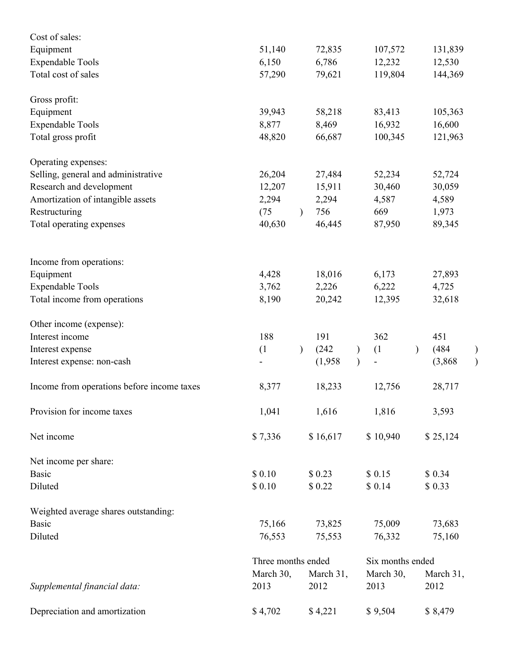| Cost of sales:                             |                          |                        |               |                          |  |
|--------------------------------------------|--------------------------|------------------------|---------------|--------------------------|--|
| Equipment                                  | 51,140                   | 72,835                 | 107,572       | 131,839                  |  |
| <b>Expendable Tools</b>                    | 6,150                    | 6,786                  | 12,232        | 12,530                   |  |
| Total cost of sales                        | 57,290                   | 79,621                 | 119,804       | 144,369                  |  |
| Gross profit:                              |                          |                        |               |                          |  |
| Equipment                                  | 39,943                   | 58,218                 | 83,413        | 105,363                  |  |
| <b>Expendable Tools</b>                    | 8,877                    | 8,469                  | 16,932        | 16,600                   |  |
| Total gross profit                         | 48,820                   | 66,687                 | 100,345       | 121,963                  |  |
| Operating expenses:                        |                          |                        |               |                          |  |
| Selling, general and administrative        | 26,204                   | 27,484                 | 52,234        | 52,724                   |  |
| Research and development                   | 12,207                   | 15,911                 | 30,460        | 30,059                   |  |
| Amortization of intangible assets          | 2,294                    | 2,294                  | 4,587         | 4,589                    |  |
| Restructuring                              | (75)                     | 756<br>$\lambda$       | 669           | 1,973                    |  |
| Total operating expenses                   | 40,630                   | 46,445                 | 87,950        | 89,345                   |  |
| Income from operations:                    |                          |                        |               |                          |  |
| Equipment                                  | 4,428                    | 18,016                 | 6,173         | 27,893                   |  |
| <b>Expendable Tools</b>                    | 3,762                    | 2,226                  | 6,222         | 4,725                    |  |
| Total income from operations               | 8,190                    | 20,242                 | 12,395        | 32,618                   |  |
| Other income (expense):                    |                          |                        |               |                          |  |
| Interest income                            | 188                      | 191                    | 362           | 451                      |  |
| Interest expense                           | (1)                      | (242)<br>$\mathcal{E}$ | (1)           | (484)                    |  |
| Interest expense: non-cash                 | $\overline{\phantom{0}}$ | (1,958)                | $\frac{1}{2}$ | (3,868)<br>$\mathcal{E}$ |  |
| Income from operations before income taxes | 8,377                    | 18,233                 | 12,756        | 28,717                   |  |
| Provision for income taxes                 | 1,041                    | 1,616                  | 1,816         | 3,593                    |  |
| Net income                                 | \$7,336                  | \$16,617               | \$10,940      | \$25,124                 |  |
| Net income per share:                      |                          |                        |               |                          |  |
| <b>Basic</b>                               | \$0.10                   | \$0.23                 | \$0.15        | \$0.34                   |  |
| Diluted                                    | \$0.10                   | \$0.22                 | \$0.14        | \$0.33                   |  |
| Weighted average shares outstanding:       |                          |                        |               |                          |  |
| <b>Basic</b>                               | 75,166                   | 73,825                 | 75,009        | 73,683                   |  |
| Diluted                                    | 76,553                   | 75,553                 | 76,332        | 75,160                   |  |
|                                            |                          | Three months ended     |               | Six months ended         |  |
|                                            | March 30,                | March 31,              | March 30,     | March 31,                |  |
|                                            |                          |                        |               |                          |  |
| Supplemental financial data:               | 2013                     | 2012                   | 2013          | 2012                     |  |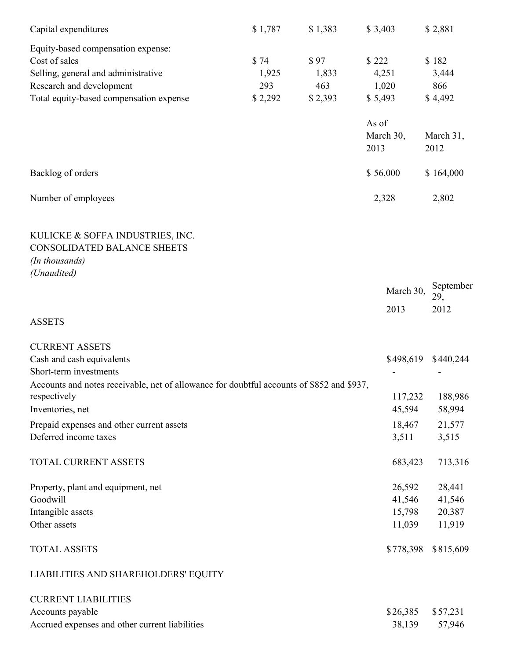| Capital expenditures                                                                      | \$1,787 | \$1,383 | \$3,403                    | \$2,881           |
|-------------------------------------------------------------------------------------------|---------|---------|----------------------------|-------------------|
| Equity-based compensation expense:<br>Cost of sales                                       | \$74    | \$97    | \$222                      | \$182             |
| Selling, general and administrative                                                       | 1,925   | 1,833   | 4,251                      | 3,444             |
| Research and development                                                                  | 293     | 463     | 1,020                      | 866               |
| Total equity-based compensation expense                                                   | \$2,292 | \$2,393 | \$5,493                    | \$4,492           |
|                                                                                           |         |         | As of<br>March 30,<br>2013 | March 31,<br>2012 |
| Backlog of orders                                                                         |         |         | \$56,000                   | \$164,000         |
| Number of employees                                                                       |         |         | 2,328                      | 2,802             |
| KULICKE & SOFFA INDUSTRIES, INC.<br><b>CONSOLIDATED BALANCE SHEETS</b>                    |         |         |                            |                   |
| (In thousands)                                                                            |         |         |                            |                   |
| (Unaudited)                                                                               |         |         |                            |                   |
|                                                                                           |         |         | March 30,                  | September         |
|                                                                                           |         |         | 2013                       | 29,<br>2012       |
| <b>ASSETS</b>                                                                             |         |         |                            |                   |
| <b>CURRENT ASSETS</b>                                                                     |         |         |                            |                   |
| Cash and cash equivalents                                                                 |         |         | \$498,619                  | \$440,244         |
| Short-term investments                                                                    |         |         |                            |                   |
| Accounts and notes receivable, net of allowance for doubtful accounts of \$852 and \$937, |         |         |                            |                   |
| respectively                                                                              |         |         | 117,232                    | 188,986           |
| Inventories, net                                                                          |         |         | 45,594                     | 58,994            |
| Prepaid expenses and other current assets                                                 |         |         | 18,467                     | 21,577            |
| Deferred income taxes                                                                     |         |         | 3,511                      | 3,515             |
| TOTAL CURRENT ASSETS                                                                      |         |         | 683,423                    | 713,316           |
| Property, plant and equipment, net                                                        |         |         | 26,592                     | 28,441            |
| Goodwill                                                                                  |         |         | 41,546                     | 41,546            |
| Intangible assets                                                                         |         |         | 15,798                     | 20,387            |
| Other assets                                                                              |         |         | 11,039                     | 11,919            |
| TOTAL ASSETS                                                                              |         |         | \$778,398                  | \$815,609         |
| LIABILITIES AND SHAREHOLDERS' EQUITY                                                      |         |         |                            |                   |
| <b>CURRENT LIABILITIES</b>                                                                |         |         |                            |                   |
| Accounts payable                                                                          |         |         | \$26,385                   | \$57,231          |
| Accrued expenses and other current liabilities                                            |         |         | 38,139                     | 57,946            |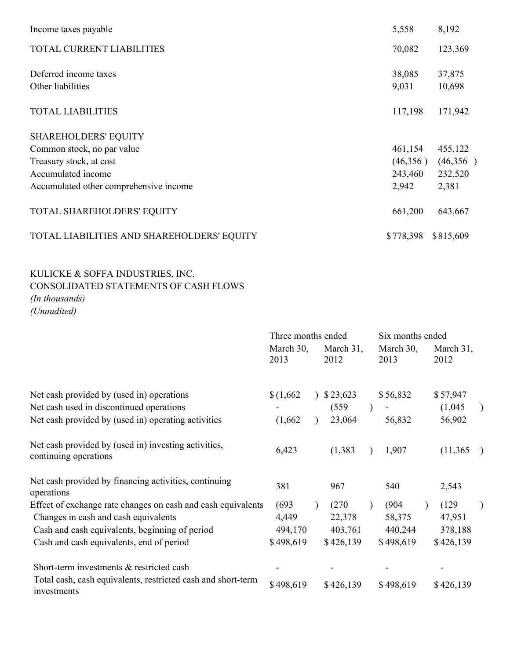| Income taxes payable                       | 5,558           | 8,192            |
|--------------------------------------------|-----------------|------------------|
| TOTAL CURRENT LIABILITIES                  | 70,082          | 123,369          |
| Deferred income taxes<br>Other liabilities | 38,085<br>9,031 | 37,875<br>10,698 |
| <b>TOTAL LIABILITIES</b>                   | 117,198         | 171,942          |
| <b>SHAREHOLDERS' EQUITY</b>                |                 |                  |
| Common stock, no par value                 | 461,154         | 455,122          |
| Treasury stock, at cost                    | (46,356)        | (46,356)         |
| Accumulated income                         | 243,460         | 232,520          |
| Accumulated other comprehensive income     | 2,942           | 2,381            |
| TOTAL SHAREHOLDERS' EQUITY                 | 661,200         | 643,667          |
| TOTAL LIABILITIES AND SHAREHOLDERS' EQUITY | \$778,398       | \$815,609        |

## KULICKE & SOFFA INDUSTRIES, INC. CONSOLIDATED STATEMENTS OF CASH FLOWS *(In thousands) (Unaudited)*

Three months ended Six months ended March 30, 2013 March 31, 2012 March 30, 2013 March 31, 2012 Net cash provided by (used in) operations  $\{(1,662)$   $\{5,662\}$   $\{5,6832\}$   $\{5,7,947\}$ Net cash used in discontinued operations (559 ) - (1,045 ) Net cash provided by (used in) operating activities (1,662 ) 23,064 56,832 56,902 Net cash provided by (used in) investing activities, continuing operations 6,423 (1,383 ) 1,907 (11,365 ) Net cash provided by financing activities, continuing operations 381 967 540 2,543 Effect of exchange rate changes on cash and cash equivalents  $(693 \t) (270 \t) (904 \t) (129 \t)$ Changes in cash and cash equivalents 4,449 22,378 58,375 47,951 Cash and cash equivalents, beginning of period 494,170 403,761 440,244 378,188 Cash and cash equivalents, end of period \$ 498,619 \$ 426,139 \$ 498,619 \$ 426,139 Short-term investments & restricted cash - - - - Total cash, cash equivalents, restricted cash and short-term investments \$ 498,619 \$ 426,139 \$ 498,619 \$ 426,139